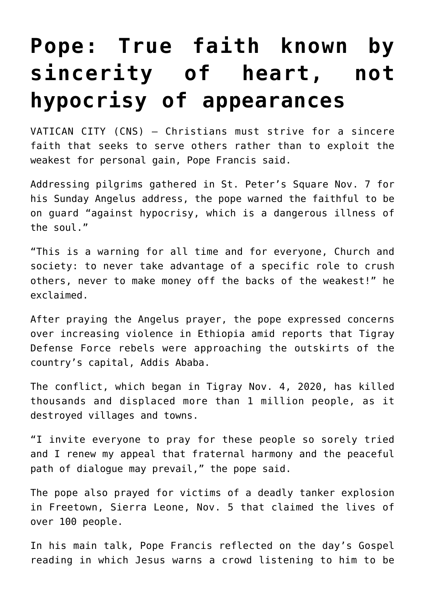## **[Pope: True faith known by](https://www.osvnews.com/2021/11/08/pope-true-faith-known-by-sincerity-of-heart-not-hypocrisy-of-appearances/) [sincerity of heart, not](https://www.osvnews.com/2021/11/08/pope-true-faith-known-by-sincerity-of-heart-not-hypocrisy-of-appearances/) [hypocrisy of appearances](https://www.osvnews.com/2021/11/08/pope-true-faith-known-by-sincerity-of-heart-not-hypocrisy-of-appearances/)**

VATICAN CITY (CNS) — Christians must strive for a sincere faith that seeks to serve others rather than to exploit the weakest for personal gain, Pope Francis said.

Addressing pilgrims gathered in St. Peter's Square Nov. 7 for his Sunday Angelus address, the pope warned the faithful to be on guard "against hypocrisy, which is a dangerous illness of the soul."

"This is a warning for all time and for everyone, Church and society: to never take advantage of a specific role to crush others, never to make money off the backs of the weakest!" he exclaimed.

After praying the Angelus prayer, the pope expressed concerns over increasing violence in Ethiopia amid reports that Tigray Defense Force rebels were approaching the outskirts of the country's capital, Addis Ababa.

The conflict, which began in Tigray Nov. 4, 2020, has killed thousands and displaced more than 1 million people, as it destroyed villages and towns.

"I invite everyone to pray for these people so sorely tried and I renew my appeal that fraternal harmony and the peaceful path of dialogue may prevail," the pope said.

The pope also prayed for victims of a deadly tanker explosion in Freetown, Sierra Leone, Nov. 5 that claimed the lives of over 100 people.

In his main talk, Pope Francis reflected on the day's Gospel reading in which Jesus warns a crowd listening to him to be